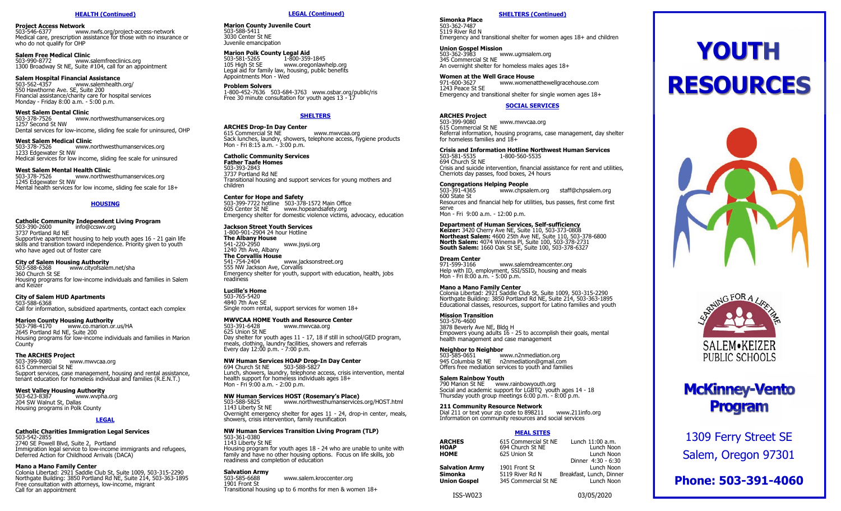**Project Access Network** 503-546-6377 www.nwfs.org/project-access-network Medical care, prescription assistance for those with no insurance or who do not qualify for OHP

**Salem Free Medical Clinic**<br>503-990-8772 www.s www.salemfreeclinics.org 1300 Broadway St NE, Suite #104, call for an appointment

**Salem Hospital Financial Assistance**<br>503-562-4357 www.salemhealth.org/ <sup>503</sup>-562-<sup>4357</sup> www.salemhealth.org/ 550 Hawthorne Ave. SE, Suite 200 Financial assistance/charity care for hospital services Monday - Friday 8:00 a.m. - 5:00 p.m.

**West Salem Dental Clinic<br>503-378-7526 WWW.** 503-378-7526 www.northwesthumanservices.org 1257 Second St NW Dental services for low-income, sliding fee scale for uninsured, OHP

**West Salem Medical Clinic** 503-378-7526 www.northwesthumanservices.org 1233 Edgewater St NW Medical services for low income, sliding fee scale for uninsured

**West Salem Mental Health Clinic** 503-378-7526 www.northwesthumanservices.org 1245 Edgewater St NW Mental health services for low income, sliding fee scale for 18+

### **HOUSING**

**Catholic Community Independent Living Program** <sup>503</sup>-390-2600 info@ccswv.org 3737 Portland Rd NE Supportive apartment housing to help youth ages 16 - 21 gain life skills and transition toward independence. Priority given to youth who have aged out of foster care

**City of Salem Housing Authority** www.cityofsalem.net/sha 360 Church St SE Housing programs for low-income individuals and families in Salem and Keizer

**City of Salem HUD Apartments** 503-588-6368 Call for information, subsidized apartments, contact each complex

**Marion County Housing Authority**<br>503-798-4170 www.co.marion.or www.co.marion.or.us/HA 2645 Portland Rd NE, Suite 200 Housing programs for low-income individuals and families in Marion **County** 

**The ARCHES Project**  www.mwvcaa.org 615 Commercial St NE Support services, case management, housing and rental assistance, tenant education for homeless individual and families (R.E.N.T.)

**West Valley Housing Authority** www.wvpha.org 204 SW Walnut St, Dallas Housing programs in Polk County

### **LEGAL**

**Catholic Charities Immigration Legal Services** 503-542-2855 2740 SE Powell Blvd, Suite 2, Portland Immigration legal service to low-income immigrants and refugees, Deferred Action for Childhood Arrivals (DACA)

**Mano a Mano Family Center** Colonia Libertad: 2921 Saddle Club St, Suite 1009, 503-315-2290 Northgate Building: 3850 Portland Rd NE, Suite 214, 503-363-1895 Free consultation with attorneys, low-income, migrant Call for an appointment

### **LEGAL (Continued)**

**Marion County Juvenile Court** 503-588-5411 3030 Center St NE Juvenile emancipation

**Marion Polk County Legal Aid<br>503-581-5265 1-800-359-1845** 105 High St SE www.oregonlawhelp.org Legal aid for family law, housing, public benefits Appointments Mon - Wed

**Problem Solvers** 1-800-452-7636 503-684-3763 www.osbar.org/public/ris Free 30 minute consultation for youth ages 13 - 17

### **SHELTERS**

**ARCHES Drop-In Day Center** 615 Commercial St NE www.mwvcaa.org Sack lunches, laundry, showers, telephone access, hygiene products Mon - Fri 8:15 a.m. - 3:00 p.m.

**Catholic Community Services Father Taafe Homes** 503-393-2843 3737 Portland Rd NE Transitional housing and support services for young mothers and children

**Center for Hope and Safety** 503-399-7722 hotline 503-378-1572 Main Office 605 Center St NE www.hopeandsafety.org Emergency shelter for domestic violence victims, advocacy, education

**Jackson Street Youth Services** 1-800-901-2904 24 hour Hotline **The Albany House** www.jsysi.org 1240 7th Ave, Albany **The Corvallis House** www.jacksonstreet.org 555 NW Jackson Ave, Corvallis Emergency shelter for youth, support with education, health, jobs readiness

**Lucille's Home** 503-765-5420 4840 7th Ave SE Single room rental, support services for women 18+

**MWVCAA HOME Youth and Resource Center** www.mwvcaa.org

625 Union St NE Day shelter for youth ages 11 - 17, 18 if still in school/GED program, meals, clothing, laundry facilities, showers and referrals Every day 12:00 p.m. - 7:00 p.m.

**NW Human Services HOAP Drop-In Day Center** 694 Church St NE 503-588-5827 Lunch, showers, laundry, telephone access, crisis intervention, mental health support for homeless individuals ages 18+ Mon - Fri 9:00 a.m. - 2:00 p.m.

# **NW Human Services HOST (Rosemary's Place)**

503-588-5825 www.northwesthumanservices.org/HOST.html 1143 Liberty St NE Overnight emergency shelter for ages 11 - 24, drop-in center, meals, showers, crisis intervention, family reunification

### **NW Human Services Transition Living Program (TLP)** 503-361-0380

1143 Liberty St NE Housing program for youth ages 18 - 24 who are unable to unite with family and have no other housing options. Focus on life skills, job readiness and completion of education

**Salvation Army** 503-585-6688 www.salem.kroccenter.org 1901 Front St Transitional housing up to 6 months for men & women 18+

### **SHELTERS (Continued)**

 **HEALTH (Continued) Simonka Place** 503-362-7487 5119 River Rd N Emergency and transitional shelter for women ages 18+ and children

> **Union Gospel Mission** <sup>503</sup>-362-<sup>3983</sup> www.ugmsalem.org 345 Commercial St NE An overnight shelter for homeless males ages 18+

**Women at the Well Grace House**<br>971-600-3627 www.womena

971-600-3627 www.womenatthewellgracehouse.com 1243 Peace St SE Emergency and transitional shelter for single women ages 18+

### **SOCIAL SERVICES**

**ARCHES Project** <sup>503</sup>-399-<sup>9080</sup> www.mwvcaa.org 615 Commercial St NE Referral information, housing programs, case management, day shelter for homeless families and 18+

**Crisis and Information Hotline Northwest Human Services**

1-800-560-5535 694 Church St NE Crisis and suicide intervention, financial assistance for rent and utilities, Cherriots day passes, food boxes, 24 hours

# **Congregations Helping People**

staff@chpsalem.org 600 State St Resources and financial help for utilities, bus passes, first come first serve Mon - Fri 9:00 a.m. - 12:00 p.m.

### **Department of Human Services, Self-sufficiency**

**Keizer:** 3420 Cherry Ave NE, Suite 110, 503-373-0808 **Northeast Salem:** 4600 25th Ave NE, Suite 110, 503-378-6800 **North Salem:** 4074 Winema Pl, Suite 100, 503-378-2731 **South Salem:** 1660 Oak St SE, Suite 100, 503-378-6327

**Dream Center**<br>971-599-3166 971-599-3166 www.salemdreamcenter.org<br>Help with ID, employment, SSI/SSID, housing and meals Mon - Fri 8:00 a.m. - 5:00 p.m.

### **Mano a Mano Family Center**

Colonia Libertad: 2921 Saddle Club St, Suite 1009, 503-315-2290 Northgate Building: 3850 Portland Rd NE, Suite 214, 503-363-1895 Educational classes, resources, support for Latino families and youth

### **Mission Transition**

503-576-4600 3878 Beverly Ave NE, Bldg H Empowers young adults 16 - 25 to accomplish their goals, mental health management and case management

# **Neighbor to Neighbor**

www.n2nmediation.org 945 Columbia St NE n2nmediation@gmail.com Offers free mediation services to youth and families

**Salem Rainbow Youth** 790 Marion St NE www.rainbowyouth.org Social and academic support for LGBTQ youth ages 14 - 18 Thursday youth group meetings 6:00 p.m. - 8:00 p.m.

### **211 Community Resource Network**

Dial 211 or text your zip code to 898211 www.211info.org Information on community resources and social services

### **MEAL SITES**

| <b>ARCHES</b><br>HOAP<br>НОМЕ | 615 Commercial St NE<br>694 Church St NE<br>625 Union St | Lunch 11:00 a.m.<br>Lunch Noon<br>Lunch Noon |
|-------------------------------|----------------------------------------------------------|----------------------------------------------|
|                               |                                                          | Dinner 4:30 - 6:30                           |
| Salvation Army                | 1901 Front St                                            | Lunch Noon                                   |
| Simonka                       | 5119 River Rd N                                          | Breakfast, Lunch, Dinner                     |
| Union Gospel                  | 345 Commercial St NE                                     | Lunch Noon                                   |
|                               |                                                          |                                              |



# **YOUTH RESOURCES**





# **McKinney-Vento Program**

1309 Ferry Street SE Salem, Oregon 97301

**Phone: 503-391-4060**